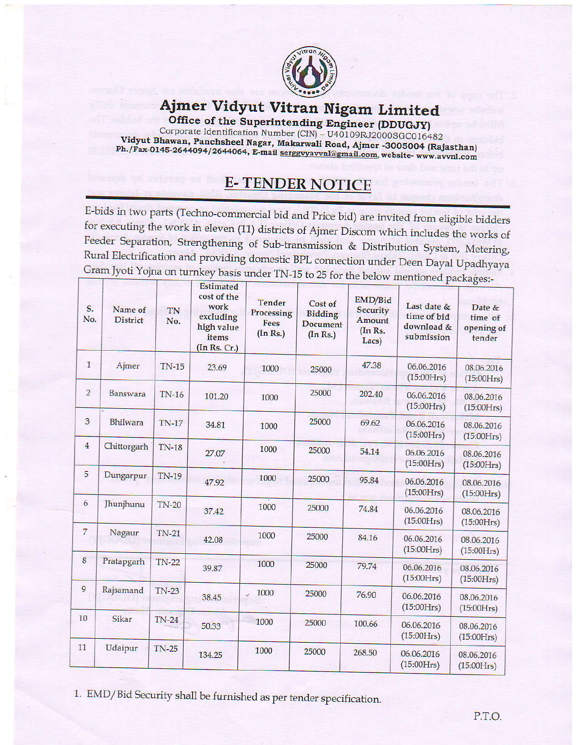

## Ajmer Vidyut Vitran Nigam Limited

Office of the Superintending Engineer (DDUGJY) Corporate Identification Number (CIN) – U40109RJ2000SGC016482<br>Vidyut Bhawan, Panchsheel Nagar, Makarwali Road, Ajmer -3005004 (Rajasthan) Ph./Fax-0145-2644094/2644064, E-mail serggvyavvnl@gmail.com, website- www.avvnl.com

## **E-TENDER NOTICE**

E-bids in two parts (Techno-commercial bid and Price bid) are invited from eligible bidders for executing the work in eleven (11) districts of Ajmer Discom which includes the works of Feeder Separation, Strengthening of Sub-transmission & Distribution System, Metering, Rural Electrification and providing domestic BPL connection under Deen Dayal Upadhyaya Gram Jyoti Yojna on turnkey basis under TN-15 to 25 for the below mentioned packages:-

| S.<br>No.      | Name of<br><b>District</b> | TN<br>No.    | <b>Estimated</b><br>cost of the<br>work<br>excluding<br>high value<br>items<br>(In Rs. Cr.) | <b>Tender</b><br>Processing<br>Fees<br>(In Rs.) | Cost of<br><b>Bidding</b><br><b>Document</b><br>(In Rs.) | EMD/Bid<br><b>Security</b><br>Amount<br>(In Rs.<br>Lacs) | Last date &<br>time of bid<br>download &<br>submission | U<br>Date &<br>time of<br>opening of<br>tender |
|----------------|----------------------------|--------------|---------------------------------------------------------------------------------------------|-------------------------------------------------|----------------------------------------------------------|----------------------------------------------------------|--------------------------------------------------------|------------------------------------------------|
| $\mathbf{1}$   | Ajmer                      | $TN-15$      | 23.69                                                                                       | 1000                                            | 25000                                                    | 47.38                                                    | 06.06.2016<br>(15:00Hrs)                               | 08.06.2016<br>(15:00Hrs)                       |
| $\overline{2}$ | Banswara                   | <b>TN-16</b> | 101.20                                                                                      | 1000                                            | 25000                                                    | 202.40                                                   | 06.06.2016<br>(15:00Hrs)                               | 08.06.2016<br>(15:00Hrs)                       |
| 3              | Bhilwara                   | <b>TN-17</b> | 34.81                                                                                       | 1000                                            | 25000                                                    | 69.62                                                    | 06.06.2016<br>(15:00Hrs)                               | 08.06.2016<br>(15:00Hrs)                       |
| $\overline{4}$ | Chittorgarh                | <b>TN-18</b> | 27.07                                                                                       | 1000                                            | 25000                                                    | 54.14                                                    | 06.06.2016<br>(15:00Hrs)                               | 08.06.2016<br>(15:00Hrs)                       |
| 5              | Dungarpur                  | <b>TN-19</b> | 47.92                                                                                       | 1000                                            | 25000                                                    | 95.84                                                    | 06.06.2016<br>(15:00Hrs)                               | 08.06.2016<br>(15:00Hrs)                       |
| 6              | Jhunjhunu                  | $TN-20$      | 37.42                                                                                       | 1000                                            | 25000                                                    | 74.84                                                    | 06.06.2016<br>(15:00Hrs)                               | 08.06.2016<br>(15:00Hrs)                       |
| $\overline{7}$ | Nagaur                     | <b>TN-21</b> | 42.08                                                                                       | 1000                                            | 25000                                                    | 84.16                                                    | 06.06.2016<br>(15:00Hrs)                               | 08.06.2016<br>(15:00Hrs)                       |
| 8              | Pratapgarh                 | $TN-22$      | 39.87                                                                                       | 1000                                            | 25000                                                    | 79.74                                                    | 06.06.2016<br>(15:00Hrs)                               | 08.06.2016<br>(15:00Hrs)                       |
| 9              | Rajsamand                  | <b>TN-23</b> | 38.45                                                                                       | 1000                                            | 25000                                                    | 76.90                                                    | 06.06.2016<br>(15:00Hrs)                               | 08.06.2016<br>(15:00Hrs)                       |
| 10             | Sikar                      | $TN-24$      | 50.33                                                                                       | 1000                                            | 25000                                                    | 100.66                                                   | 06.06.2016<br>(15:00Hrs)                               | 08.06.2016<br>(15:00Hrs)                       |
| 11             | Udaipur                    | <b>TN-25</b> | 134.25                                                                                      | 1000                                            | 25000                                                    | 268.50                                                   | 06.06.2016<br>(15:00Hrs)                               | 08.06.2016<br>(15:00Hrs)                       |

1. EMD/Bid Security shall be furnished as per tender specification.